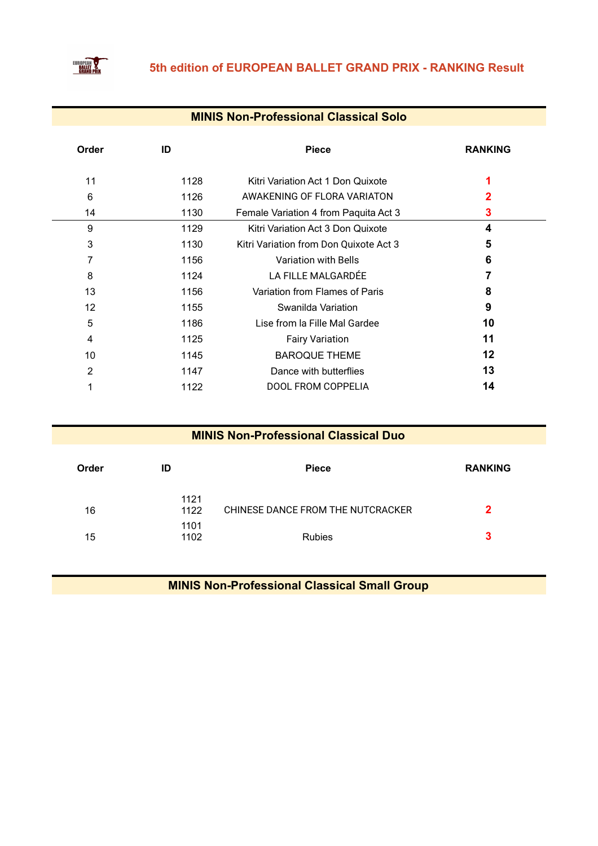

#### **MINIS Non-Professional Classical Solo**

| Order | ID   | <b>Piece</b>                           | <b>RANKING</b> |
|-------|------|----------------------------------------|----------------|
| 11    | 1128 | Kitri Variation Act 1 Don Quixote      |                |
| 6     | 1126 | AWAKENING OF FLORA VARIATON            |                |
| 14    | 1130 | Female Variation 4 from Paquita Act 3  | 3              |
| 9     | 1129 | Kitri Variation Act 3 Don Quixote      | 4              |
| 3     | 1130 | Kitri Variation from Don Quixote Act 3 | 5              |
|       | 1156 | <b>Variation with Bells</b>            | 6              |
| 8     | 1124 | LA FILLE MALGARDÉE                     |                |
| 13    | 1156 | Variation from Flames of Paris         | 8              |
| 12    | 1155 | Swanilda Variation                     | 9              |
| 5     | 1186 | Lise from la Fille Mal Gardee          | 10             |
| 4     | 1125 | <b>Fairy Variation</b>                 | 11             |
| 10    | 1145 | <b>BAROQUE THEME</b>                   | 12             |
| 2     | 1147 | Dance with butterflies                 | 13             |
|       | 1122 | <b>DOOL FROM COPPELIA</b>              | 14             |

#### **MINIS Non-Professional Classical Duo**

| Order | ID           | <b>Piece</b>                      | <b>RANKING</b> |
|-------|--------------|-----------------------------------|----------------|
| 16    | 1121<br>1122 | CHINESE DANCE FROM THE NUTCRACKER | 2              |
| 15    | 1101<br>1102 | <b>Rubies</b>                     | 3              |

**MINIS Non-Professional Classical Small Group**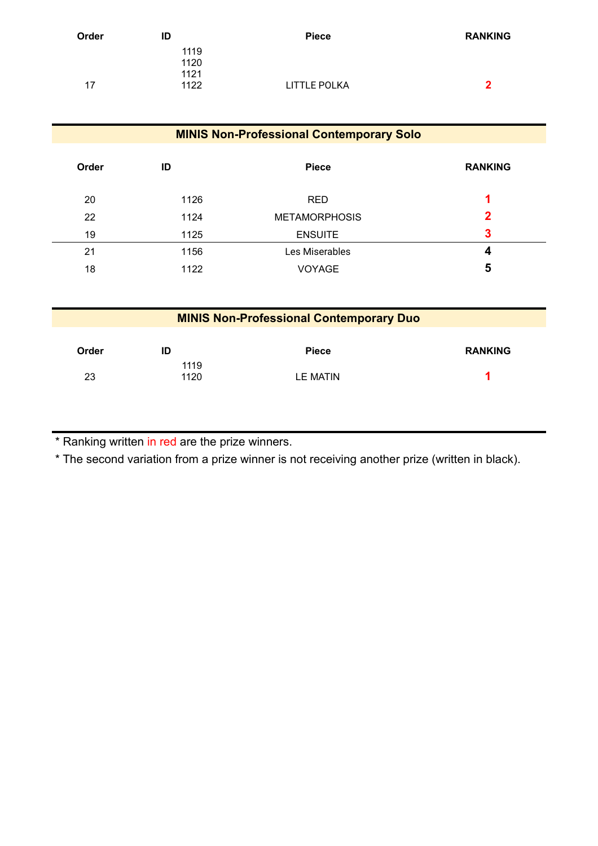| Order | ID   | <b>Piece</b>        | <b>RANKING</b> |
|-------|------|---------------------|----------------|
|       | 1119 |                     |                |
|       | 1120 |                     |                |
|       | 1121 |                     |                |
| 17    | 1122 | <b>LITTLE POLKA</b> | 2              |
|       |      |                     |                |

| <b>MINIS Non-Professional Contemporary Solo</b> |              |                      |                |  |
|-------------------------------------------------|--------------|----------------------|----------------|--|
| Order                                           | ID           | <b>Piece</b>         | <b>RANKING</b> |  |
| 20                                              | 1126         | <b>RED</b>           | 1              |  |
| 22                                              | 1124         | <b>METAMORPHOSIS</b> | 2              |  |
| 19                                              | 1125         | <b>ENSUITE</b>       | 3              |  |
| 21                                              | 1156         | Les Miserables       | 4              |  |
| 18                                              | 1122         | <b>VOYAGE</b>        | 5              |  |
|                                                 |              |                      |                |  |
| <b>MINIS Non-Professional Contemporary Duo</b>  |              |                      |                |  |
|                                                 |              |                      |                |  |
| Order                                           | ID           | <b>Piece</b>         | <b>RANKING</b> |  |
| 23                                              | 1119<br>1120 | <b>LE MATIN</b>      |                |  |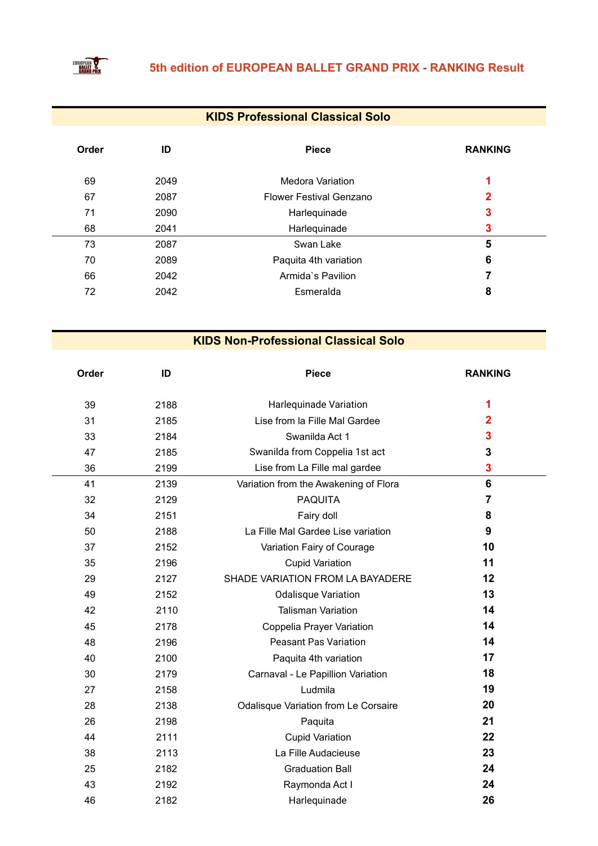

### **KIDS Professional Classical Solo**

| Order | ID   | <b>Piece</b>                   | <b>RANKING</b> |
|-------|------|--------------------------------|----------------|
| 69    | 2049 | <b>Medora Variation</b>        | 1              |
| 67    | 2087 | <b>Flower Festival Genzano</b> | 2              |
| 71    | 2090 | Harlequinade                   | 3              |
| 68    | 2041 | Harlequinade                   | 3              |
| 73    | 2087 | Swan Lake                      | 5              |
| 70    | 2089 | Paquita 4th variation          | 6              |
| 66    | 2042 | Armida's Pavilion              |                |
| 72    | 2042 | Esmeralda                      | 8              |

| Order | ID   | <b>Piece</b>                          | <b>RANKING</b>          |
|-------|------|---------------------------------------|-------------------------|
| 39    | 2188 | Harlequinade Variation                | 1                       |
| 31    | 2185 | Lise from la Fille Mal Gardee         | $\overline{\mathbf{2}}$ |
| 33    | 2184 | Swanilda Act 1                        | 3                       |
| 47    | 2185 | Swanilda from Coppelia 1st act        | 3                       |
| 36    | 2199 | Lise from La Fille mal gardee         | 3                       |
| 41    | 2139 | Variation from the Awakening of Flora | 6                       |
| 32    | 2129 | <b>PAQUITA</b>                        | $\overline{7}$          |
| 34    | 2151 | Fairy doll                            | 8                       |
| 50    | 2188 | La Fille Mal Gardee Lise variation    | 9                       |
| 37    | 2152 | Variation Fairy of Courage            | 10                      |
| 35    | 2196 | <b>Cupid Variation</b>                | 11                      |
| 29    | 2127 | SHADE VARIATION FROM LA BAYADERE      | 12                      |
| 49    | 2152 | <b>Odalisque Variation</b>            | 13                      |
| 42    | 2110 | <b>Talisman Variation</b>             | 14                      |
| 45    | 2178 | Coppelia Prayer Variation             | 14                      |
| 48    | 2196 | <b>Peasant Pas Variation</b>          | 14                      |
| 40    | 2100 | Paquita 4th variation                 | 17                      |
| 30    | 2179 | Carnaval - Le Papillion Variation     | 18                      |
| 27    | 2158 | Ludmila                               | 19                      |
| 28    | 2138 | Odalisque Variation from Le Corsaire  | 20                      |
| 26    | 2198 | Paquita                               | 21                      |
| 44    | 2111 | <b>Cupid Variation</b>                | 22                      |
| 38    | 2113 | La Fille Audacieuse                   | 23                      |
| 25    | 2182 | <b>Graduation Ball</b>                | 24                      |
| 43    | 2192 | Raymonda Act I                        | 24                      |
| 46    | 2182 | Harlequinade                          | 26                      |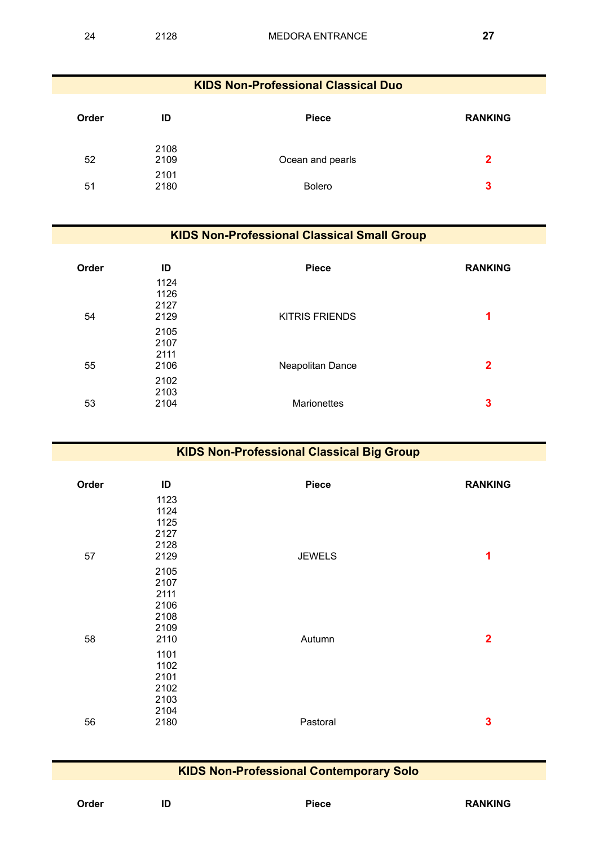| <b>KIDS Non-Professional Classical Duo</b> |              |                  |                |  |
|--------------------------------------------|--------------|------------------|----------------|--|
| Order                                      | ID           | <b>Piece</b>     | <b>RANKING</b> |  |
| 52                                         | 2108<br>2109 | Ocean and pearls | $\mathbf{2}$   |  |
| 51                                         | 2101<br>2180 | <b>Bolero</b>    | 3              |  |

#### **KIDS Non-Professional Classical Small Group**

| Order | ID                           | <b>Piece</b>          | <b>RANKING</b> |
|-------|------------------------------|-----------------------|----------------|
| 54    | 1124<br>1126<br>2127<br>2129 | <b>KITRIS FRIENDS</b> | 1              |
| 55    | 2105<br>2107<br>2111<br>2106 | Neapolitan Dance      | $\mathbf 2$    |
| 53    | 2102<br>2103<br>2104         | Marionettes           | 3              |

| <b>KIDS Non-Professional Classical Big Group</b> |                                                      |               |                |
|--------------------------------------------------|------------------------------------------------------|---------------|----------------|
| Order                                            | ID<br>1123                                           | <b>Piece</b>  | <b>RANKING</b> |
| 57                                               | 1124<br>1125<br>2127<br>2128<br>2129                 | <b>JEWELS</b> | 1              |
| 58                                               | 2105<br>2107<br>2111<br>2106<br>2108<br>2109<br>2110 | Autumn        | $\overline{2}$ |
| 56                                               | 1101<br>1102<br>2101<br>2102<br>2103<br>2104<br>2180 | Pastoral      | $\mathbf{3}$   |
|                                                  |                                                      |               |                |

### **KIDS Non-Professional Contemporary Solo**

| Order | ID | Piece | <b>RANKING</b> |
|-------|----|-------|----------------|
|       |    |       |                |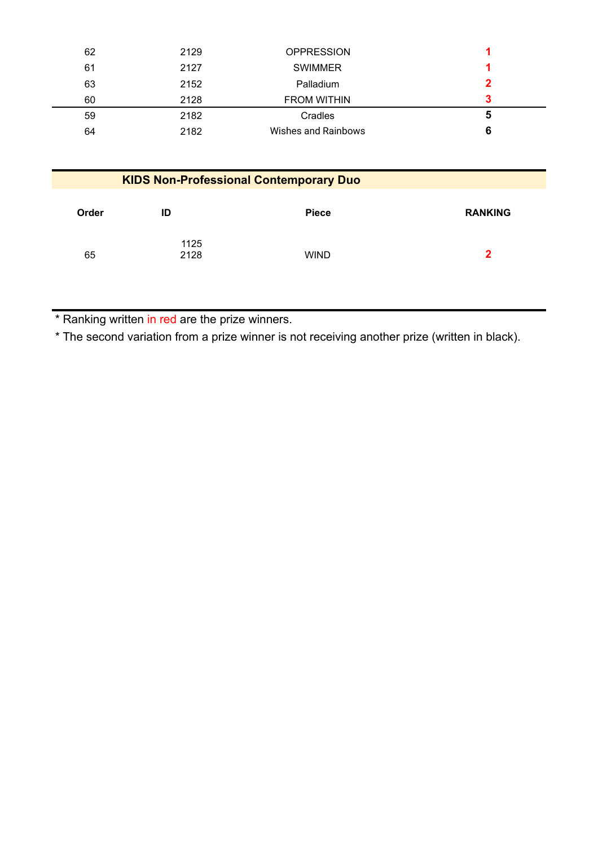| 62 | 2129 | <b>OPPRESSION</b>   |   |
|----|------|---------------------|---|
| 61 | 2127 | <b>SWIMMER</b>      |   |
| 63 | 2152 | Palladium           |   |
| 60 | 2128 | <b>FROM WITHIN</b>  |   |
| 59 | 2182 | Cradles             | 5 |
| 64 | 2182 | Wishes and Rainbows | 6 |

| <b>KIDS Non-Professional Contemporary Duo</b> |              |              |                |
|-----------------------------------------------|--------------|--------------|----------------|
| Order                                         | ID           | <b>Piece</b> | <b>RANKING</b> |
| 65                                            | 1125<br>2128 | <b>WIND</b>  | 2              |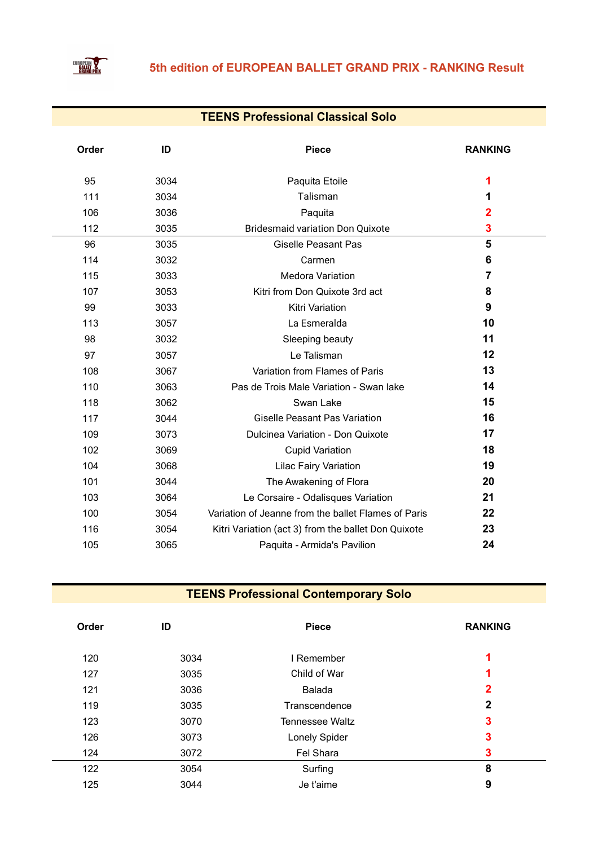

### **TEENS Professional Classical Solo**

| Order | ID   | <b>Piece</b>                                        | <b>RANKING</b> |
|-------|------|-----------------------------------------------------|----------------|
| 95    | 3034 | Paquita Etoile                                      | 1              |
| 111   | 3034 | Talisman                                            | 1              |
| 106   | 3036 | Paquita                                             | 2              |
| 112   | 3035 | <b>Bridesmaid variation Don Quixote</b>             | 3              |
| 96    | 3035 | <b>Giselle Peasant Pas</b>                          | 5              |
| 114   | 3032 | Carmen                                              | 6              |
| 115   | 3033 | <b>Medora Variation</b>                             | $\overline{7}$ |
| 107   | 3053 | Kitri from Don Quixote 3rd act                      | 8              |
| 99    | 3033 | <b>Kitri Variation</b>                              | 9              |
| 113   | 3057 | La Esmeralda                                        | 10             |
| 98    | 3032 | Sleeping beauty                                     | 11             |
| 97    | 3057 | Le Talisman                                         | 12             |
| 108   | 3067 | Variation from Flames of Paris                      | 13             |
| 110   | 3063 | Pas de Trois Male Variation - Swan lake             | 14             |
| 118   | 3062 | Swan Lake                                           | 15             |
| 117   | 3044 | <b>Giselle Peasant Pas Variation</b>                | 16             |
| 109   | 3073 | Dulcinea Variation - Don Quixote                    | 17             |
| 102   | 3069 | <b>Cupid Variation</b>                              | 18             |
| 104   | 3068 | <b>Lilac Fairy Variation</b>                        | 19             |
| 101   | 3044 | The Awakening of Flora                              | 20             |
| 103   | 3064 | Le Corsaire - Odalisques Variation                  | 21             |
| 100   | 3054 | Variation of Jeanne from the ballet Flames of Paris | 22             |
| 116   | 3054 | Kitri Variation (act 3) from the ballet Don Quixote | 23             |
| 105   | 3065 | Paquita - Armida's Pavilion                         | 24             |
|       |      |                                                     |                |

# **TEENS Professional Contemporary Solo**

| Order | ID   | <b>Piece</b>           | <b>RANKING</b> |
|-------|------|------------------------|----------------|
| 120   | 3034 | I Remember             | 1              |
| 127   | 3035 | Child of War           | 1              |
| 121   | 3036 | Balada                 | 2              |
| 119   | 3035 | Transcendence          | 2              |
| 123   | 3070 | <b>Tennessee Waltz</b> | 3              |
| 126   | 3073 | Lonely Spider          | 3              |
| 124   | 3072 | Fel Shara              | 3              |
| 122   | 3054 | Surfing                | 8              |
| 125   | 3044 | Je t'aime              | 9              |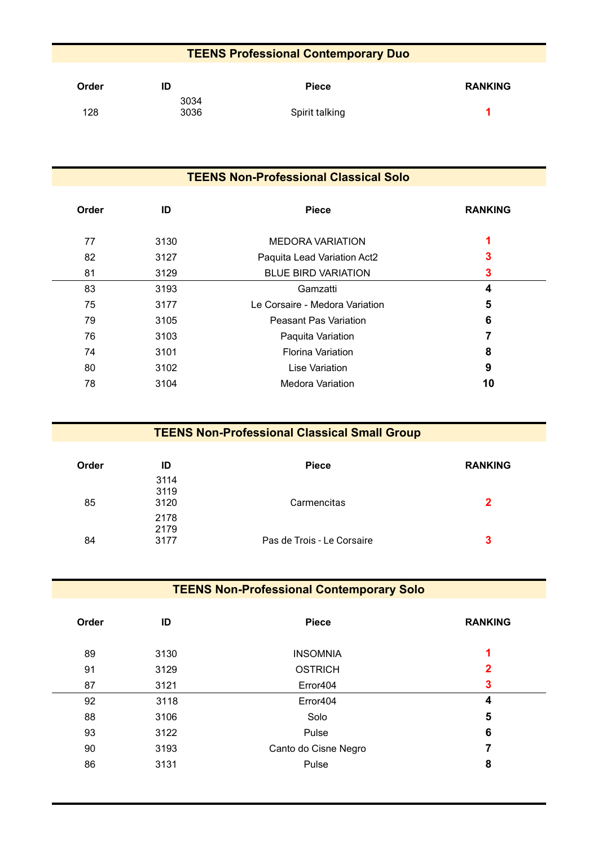### **TEENS Professional Contemporary Duo**

| Order | ID           | <b>Piece</b>   | <b>RANKING</b> |
|-------|--------------|----------------|----------------|
| 128   | 3034<br>3036 | Spirit talking |                |

| <b>TEENS Non-Professional Classical Solo</b> |      |                                |                |
|----------------------------------------------|------|--------------------------------|----------------|
| <b>Order</b>                                 | ID   | <b>Piece</b>                   | <b>RANKING</b> |
| 77                                           | 3130 | <b>MEDORA VARIATION</b>        |                |
| 82                                           | 3127 | Paquita Lead Variation Act2    | 3              |
| 81                                           | 3129 | <b>BLUE BIRD VARIATION</b>     | 3              |
| 83                                           | 3193 | Gamzatti                       | 4              |
| 75                                           | 3177 | Le Corsaire - Medora Variation | 5              |
| 79                                           | 3105 | <b>Peasant Pas Variation</b>   | 6              |
| 76                                           | 3103 | Paquita Variation              |                |
| 74                                           | 3101 | <b>Florina Variation</b>       | 8              |
| 80                                           | 3102 | Lise Variation                 | 9              |
| 78                                           | 3104 | Medora Variation               | 10             |

| <b>TEENS Non-Professional Classical Small Group</b> |                      |                            |                |
|-----------------------------------------------------|----------------------|----------------------------|----------------|
| <b>Order</b>                                        | ID                   | <b>Piece</b>               | <b>RANKING</b> |
| 85                                                  | 3114<br>3119<br>3120 | Carmencitas                | 2              |
| 84                                                  | 2178<br>2179<br>3177 | Pas de Trois - Le Corsaire | 3              |

# **TEENS Non-Professional Contemporary Solo**

| Order | ID   | <b>Piece</b>         | <b>RANKING</b> |
|-------|------|----------------------|----------------|
| 89    | 3130 | <b>INSOMNIA</b>      | 1              |
| 91    | 3129 | <b>OSTRICH</b>       | $\mathbf{2}$   |
| 87    | 3121 | Error404             | 3              |
| 92    | 3118 | Error404             | 4              |
| 88    | 3106 | Solo                 | 5              |
| 93    | 3122 | Pulse                | 6              |
| 90    | 3193 | Canto do Cisne Negro | 7              |
| 86    | 3131 | Pulse                | 8              |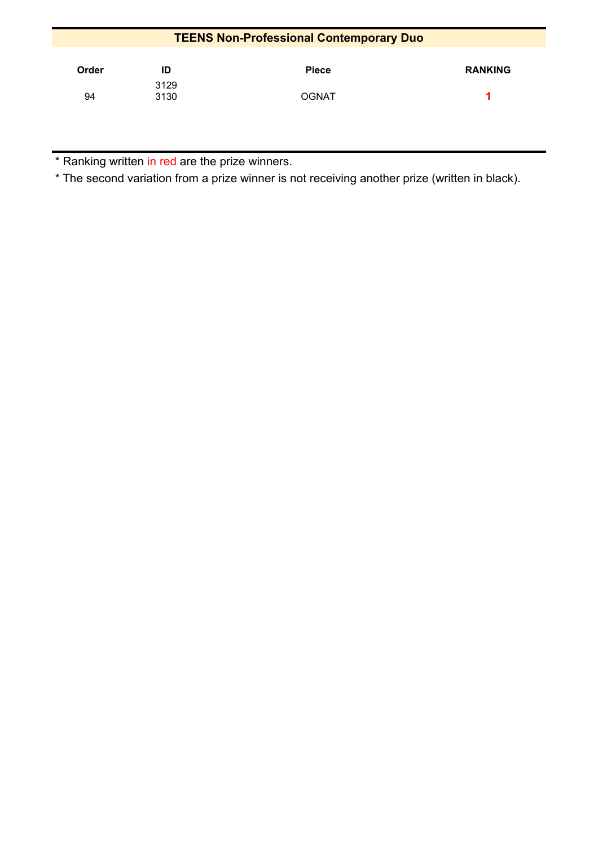| <b>TEENS Non-Professional Contemporary Duo</b> |              |              |                |  |
|------------------------------------------------|--------------|--------------|----------------|--|
| Order                                          | ID           | <b>Piece</b> | <b>RANKING</b> |  |
| 94                                             | 3129<br>3130 | <b>OGNAT</b> |                |  |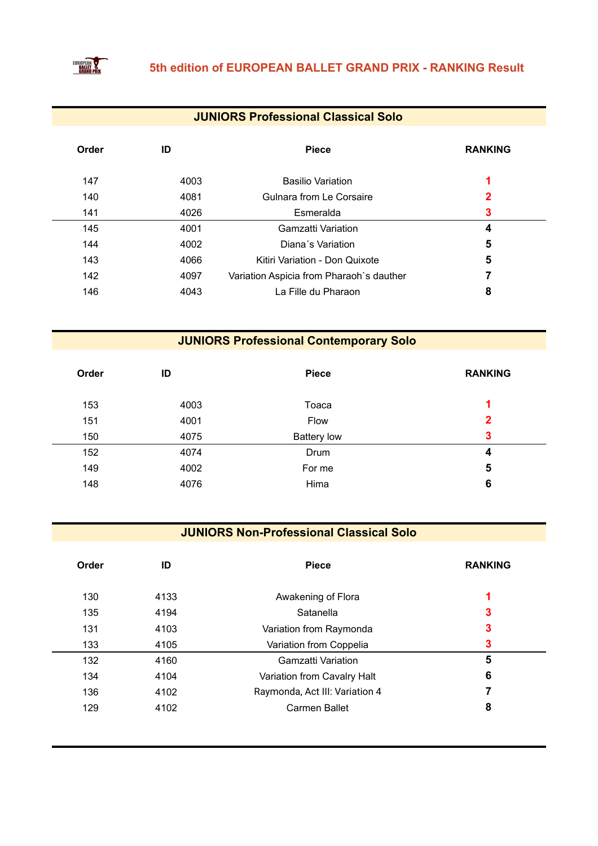

### **JUNIORS Professional Classical Solo**

| Order | ID   | <b>Piece</b>                             | <b>RANKING</b> |
|-------|------|------------------------------------------|----------------|
| 147   | 4003 | <b>Basilio Variation</b>                 | 1              |
| 140   | 4081 | Gulnara from Le Corsaire                 | 2              |
| 141   | 4026 | Esmeralda                                | 3              |
| 145   | 4001 | Gamzatti Variation                       | 4              |
| 144   | 4002 | Diana's Variation                        | 5              |
| 143   | 4066 | Kitiri Variation - Don Quixote           | 5              |
| 142   | 4097 | Variation Aspicia from Pharaoh's dauther | 7              |
| 146   | 4043 | La Fille du Pharaon                      | 8              |

**JUNIORS Professional Contemporary Solo** 

| Order | ID   | <b>Piece</b>       | <b>RANKING</b> |
|-------|------|--------------------|----------------|
| 153   | 4003 | Toaca              | и              |
| 151   | 4001 | Flow               | $\overline{2}$ |
| 150   | 4075 | <b>Battery low</b> | 3              |
| 152   | 4074 | Drum               | 4              |
| 149   | 4002 | For me             | 5              |
| 148   | 4076 | Hima               | 6              |
|       |      |                    |                |

### **JUNIORS Non-Professional Classical Solo**

| Order | ID   | <b>Piece</b>                   | <b>RANKING</b> |
|-------|------|--------------------------------|----------------|
| 130   | 4133 | Awakening of Flora             | 4              |
| 135   | 4194 | Satanella                      | 3              |
| 131   | 4103 | Variation from Raymonda        | 3              |
| 133   | 4105 | Variation from Coppelia        | 3              |
| 132   | 4160 | Gamzatti Variation             | 5              |
| 134   | 4104 | Variation from Cavalry Halt    | 6              |
| 136   | 4102 | Raymonda, Act III: Variation 4 |                |
| 129   | 4102 | Carmen Ballet                  | 8              |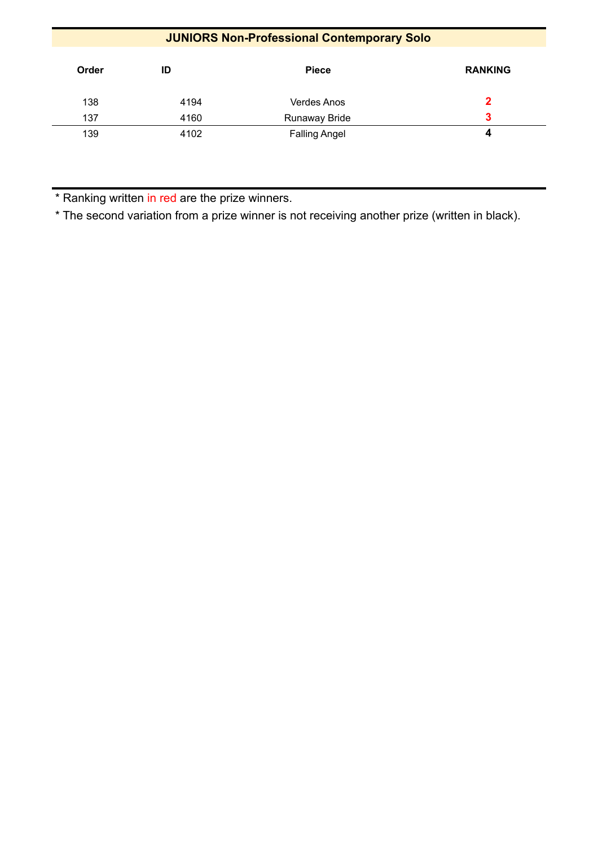# **JUNIORS Non-Professional Contemporary Solo**

| Order | ID   | <b>Piece</b>         | <b>RANKING</b> |
|-------|------|----------------------|----------------|
| 138   | 4194 | Verdes Anos          | 2              |
| 137   | 4160 | Runaway Bride        | 3              |
| 139   | 4102 | <b>Falling Angel</b> | 4              |

\* Ranking written in red are the prize winners.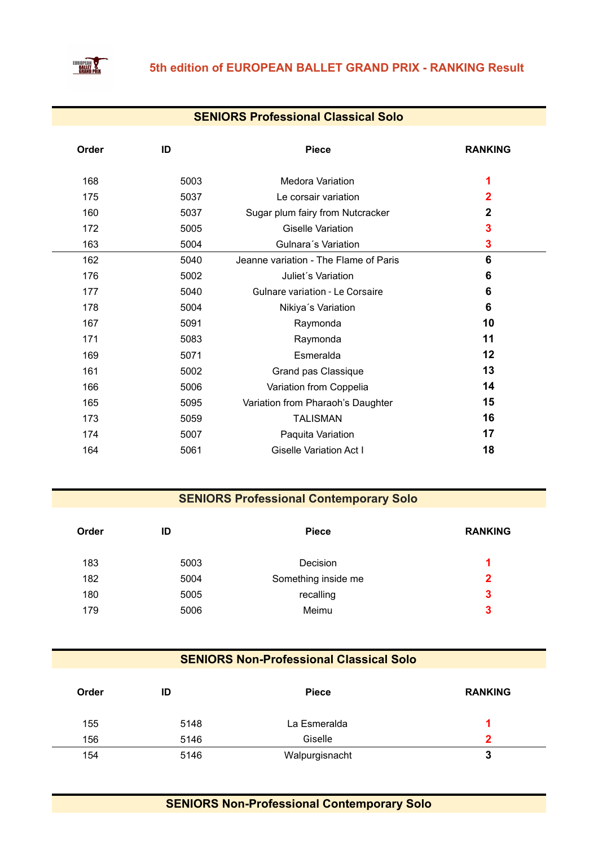

### **SENIORS Professional Classical Solo**

| ID   | <b>Piece</b>                           | <b>RANKING</b>          |
|------|----------------------------------------|-------------------------|
| 5003 | <b>Medora Variation</b>                |                         |
| 5037 | Le corsair variation                   | $\overline{\mathbf{2}}$ |
| 5037 | Sugar plum fairy from Nutcracker       | $\mathbf 2$             |
| 5005 | <b>Giselle Variation</b>               | 3                       |
| 5004 | Gulnara's Variation                    | 3                       |
| 5040 | Jeanne variation - The Flame of Paris  | 6                       |
| 5002 | Juliet's Variation                     | 6                       |
| 5040 | <b>Gulnare variation - Le Corsaire</b> | 6                       |
| 5004 | Nikiya's Variation                     | 6                       |
| 5091 | Raymonda                               | 10                      |
| 5083 | Raymonda                               | 11                      |
| 5071 | Esmeralda                              | 12                      |
| 5002 | Grand pas Classique                    | 13                      |
| 5006 | Variation from Coppelia                | 14                      |
| 5095 | Variation from Pharaoh's Daughter      | 15                      |
| 5059 | <b>TALISMAN</b>                        | 16                      |
| 5007 | Paquita Variation                      | 17                      |
| 5061 | <b>Giselle Variation Act I</b>         | 18                      |
|      |                                        |                         |

### **SENIORS Professional Contemporary Solo**

| ID   | <b>Piece</b>        | <b>RANKING</b> |
|------|---------------------|----------------|
| 5003 | Decision            | л              |
| 5004 | Something inside me | $\mathbf{2}$   |
| 5005 | recalling           | 3              |
| 5006 | Meimu               | 3              |
|      |                     |                |

## **SENIORS Non-Professional Classical Solo**

| Order | ID   | <b>Piece</b>   | <b>RANKING</b> |
|-------|------|----------------|----------------|
| 155   | 5148 | La Esmeralda   |                |
| 156   | 5146 | Giselle        | כי             |
| 154   | 5146 | Walpurgisnacht | 3              |

# **SENIORS Non-Professional Contemporary Solo**